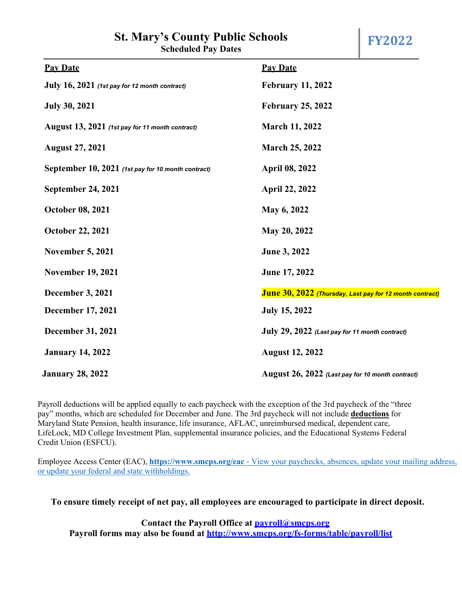## **St. Mary's County Public Schools**

| <b>Pay Date</b>                                                                     | <b>Pay Date</b>                                  |  |
|-------------------------------------------------------------------------------------|--------------------------------------------------|--|
| July $16$ , $2021$ (1st pay for 12 month contract)                                  | <b>February 11, 2022</b>                         |  |
| <b>July 30, 2021</b>                                                                | <b>February 25, 2022</b>                         |  |
| August 13, 2021 (1st pay for 11 month contract)                                     | <b>March 11, 2022</b>                            |  |
| <b>August 27, 2021</b>                                                              | March 25, 2022                                   |  |
| September 10, 2021 (1st pay for 10 month contract)                                  | <b>April 08, 2022</b>                            |  |
| <b>September 24, 2021</b>                                                           | April 22, 2022                                   |  |
| <b>October 08, 2021</b>                                                             | May 6, 2022                                      |  |
| <b>October 22, 2021</b>                                                             | May 20, 2022                                     |  |
| <b>November 5, 2021</b>                                                             | June 3, 2022                                     |  |
| <b>November 19, 2021</b>                                                            | June 17, 2022                                    |  |
| <b>December 3, 2021</b><br>June 30, 2022 (Thursday, Last pay for 12 month contract) |                                                  |  |
| December 17, 2021                                                                   | <b>July 15, 2022</b>                             |  |
| <b>December 31, 2021</b>                                                            | July 29, 2022 (Last pay for 11 month contract)   |  |
| <b>January 14, 2022</b>                                                             | <b>August 12, 2022</b>                           |  |
| <b>January 28, 2022</b>                                                             | August 26, 2022 (Last pay for 10 month contract) |  |

Payroll deductions will be applied equally to each paycheck with the exception of the 3rd paycheck of the "three pay" months, which are scheduled for December and June. The 3rd paycheck will not include **deductions** for Maryland State Pension, health insurance, life insurance, AFLAC, unreimbursed medical, dependent care, LifeLock, MD College Investment Plan, supplemental insurance policies, and the Educational Systems Federal Credit Union (ESFCU).

Employee Access Center (EAC), **https://www.smcps.org/eac** - View your paychecks, absences, update your mailing address, or update your federal and state withholdings.

**To ensure timely receipt of net pay, all employees are encouraged to participate in direct deposit.** 

**Contact the Payroll Office at payroll@smcps.org Payroll forms may also be found at http://www.smcps.org/fs-forms/table/payroll/list**